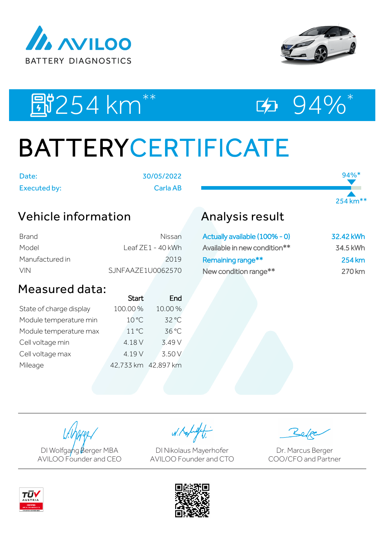



94%\*

254 km\*\*

EU254 km<sup>\*\*</sup> ED 94%\*

# BATTERYCERTIFICATE

Date: 30/05/2022

Executed by: Carla AB

## Vehicle information

| Brand           | Nissan.                   |
|-----------------|---------------------------|
| Model           | <u>  eaf 7F1 - 40 kWh</u> |
| Manufactured in | 2019                      |
| VIN.            | SJNFAAZE1U0062570         |

### Measured data:

|                     | End          |
|---------------------|--------------|
| 100.00%             | 10.00%       |
| 10 °C               | 32 °C        |
| $11^{\circ}$ C      | 36 °C        |
| 4.18 V              | 3.49 V       |
| 4.19 V              | 3.50 V       |
| 42,733 km 42,897 km |              |
|                     | <b>Start</b> |

## Analysis result

| Actually available (100% - 0) | 32.42 kWh |
|-------------------------------|-----------|
| Available in new condition**  | 34.5 kWh  |
| Remaining range**             | 254 km    |
| New condition range**         | 270 km    |



W. Kolight

DI Nikolaus Mayerhofer AVILOO Founder and CTO

Dr. Marcus Berger COO/CFO and Partner